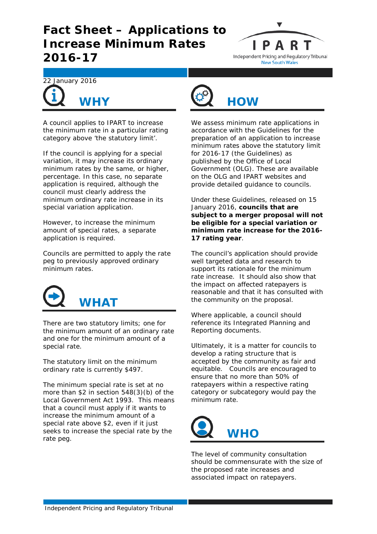## **Fact Sheet – Applications to Increase Minimum Rates 2016-17**





A council applies to IPART to increase the minimum rate in a particular rating category above 'the statutory limit'.

If the council is applying for a special variation, it may increase its *ordinary minimum rates* by the same, or higher, percentage. In this case, no separate application is required, although the council must clearly address the minimum *ordinary* rate increase in its special variation application.

However, to increase the minimum amount of *special rates*, a separate application is required.

Councils are permitted to apply the rate peg to previously approved *ordinary* minimum rates.



There are two statutory limits; one for the minimum amount of an *ordinary rate* and one for the minimum amount of a *special rate*.

The statutory limit on the minimum ordinary rate is currently \$497.

The minimum special rate is set at no more than \$2 in section 548(3)(b) of the *Local Government Act 1993*. This means that a council must apply if it wants to increase the minimum amount of a special rate above \$2, even if it just seeks to increase the special rate by the rate peg.



We assess minimum rate applications in accordance with the *Guidelines for the preparation of an application to increase minimum rates above the statutory limit for 2016-17* (the Guidelines) as published by the Office of Local Government (OLG). These are available on the OLG and IPART websites and provide detailed guidance to councils.

Under these Guidelines, released on 15 January 2016, **councils that are subject to a merger proposal will not be eligible for a special variation or minimum rate increase for the 2016- 17 rating year**.

The council's application should provide well targeted data and research to support its rationale for the minimum rate increase. It should also show that the impact on affected ratepayers is reasonable and that it has consulted with the community on the proposal.

Where applicable, a council should reference its Integrated Planning and Reporting documents.

Ultimately, it is a matter for councils to develop a rating structure that is accepted by the community as fair and equitable. Councils are encouraged to ensure that no more than 50% of ratepayers within a respective rating category or subcategory would pay the minimum rate.



The level of community consultation should be commensurate with the size of the proposed rate increases and associated impact on ratepayers.